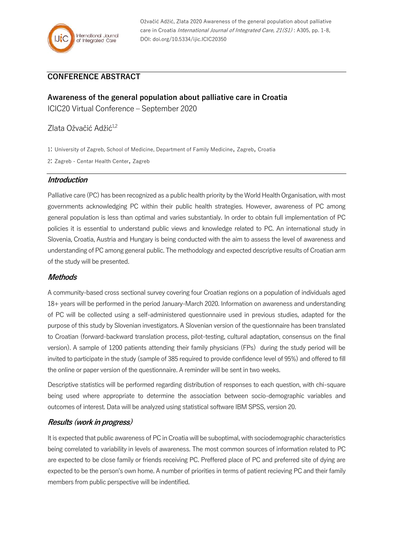

Ožvačić Adžić, Zlata 2020 Awareness of the general population about palliative care in Croatia *International Journal of Integrated Care, 21(S1)*: A305, pp. 1-8, DOI: doi.org/10.5334/ijic.ICIC20350

## **CONFERENCE ABSTRACT**

# **Awareness of the general population about palliative care in Croatia**

ICIC20 Virtual Conference – September 2020

## Zlata Ožvačić Adžić<sup>1,2</sup>

1: University of Zagreb, School of Medicine, Department of Family Medicine, Zagreb, Croatia

2: Zagreb - Centar Health Center, Zagreb

#### **Introduction**

Palliative care (PC) has been recognized as a public health priority by the World Health Organisation, with most governments acknowledging PC within their public health strategies. However, awareness of PC among general population is less than optimal and varies substantialy. In order to obtain full implementation of PC policies it is essential to understand public views and knowledge related to PC. An international study in Slovenia, Croatia, Austria and Hungary is being conducted with the aim to assess the level of awareness and understanding of PC among general public. The methodology and expected descriptive results of Croatian arm of the study will be presented.

### **Methods**

A community-based cross sectional survey covering four Croatian regions on a population of individuals aged 18+ years will be performed in the period January-March 2020. Information on awareness and understanding of PC will be collected using a self-administered questionnaire used in previous studies, adapted for the purpose of this study by Slovenian investigators. A Slovenian version of the questionnaire has been translated to Croatian (forward-backward translation process, pilot-testing, cultural adaptation, consensus on the final version). A sample of 1200 patients attending their family physicians (FPs) during the study period will be invited to participate in the study (sample of 385 required to provide confidence level of 95%) and offered to fill the online or paper version of the questionnaire. A reminder will be sent in two weeks.

Descriptive statistics will be performed regarding distribution of responses to each question, with chi-square being used where appropriate to determine the association between socio-demographic variables and outcomes of interest. Data will be analyzed using statistical software IBM SPSS, version 20.

## **Results (work in progress)**

It is expected that public awareness of PC in Croatia will be suboptimal, with sociodemographic characteristics being correlated to variability in levels of awareness. The most common sources of information related to PC are expected to be close family or friends receiving PC. Preffered place of PC and preferred site of dying are expected to be the person's own home. A number of priorities in terms of patient recieving PC and their family members from public perspective will be indentified.